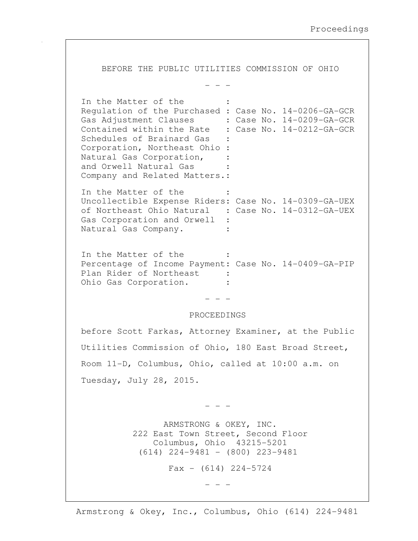BEFORE THE PUBLIC UTILITIES COMMISSION OF OHIO - - - In the Matter of the : Regulation of the Purchased : Case No. 14-0206-GA-GCR Gas Adjustment Clauses : Case No. 14-0209-GA-GCR Contained within the Rate : Case No. 14-0212-GA-GCR Schedules of Brainard Gas Corporation, Northeast Ohio : Natural Gas Corporation, : and Orwell Natural Gas : Company and Related Matters.: In the Matter of the Uncollectible Expense Riders: Case No. 14-0309-GA-UEX of Northeast Ohio Natural : Case No. 14-0312-GA-UEX Gas Corporation and Orwell : Natural Gas Company. : In the Matter of the Percentage of Income Payment: Case No. 14-0409-GA-PIP Plan Rider of Northeast : Ohio Gas Corporation. - - - PROCEEDINGS before Scott Farkas, Attorney Examiner, at the Public Utilities Commission of Ohio, 180 East Broad Street, Room 11-D, Columbus, Ohio, called at 10:00 a.m. on Tuesday, July 28, 2015. - - - ARMSTRONG & OKEY, INC. 222 East Town Street, Second Floor Columbus, Ohio 43215-5201 (614) 224-9481 - (800) 223-9481  $Fax - (614) 224 - 5724$ 

- - -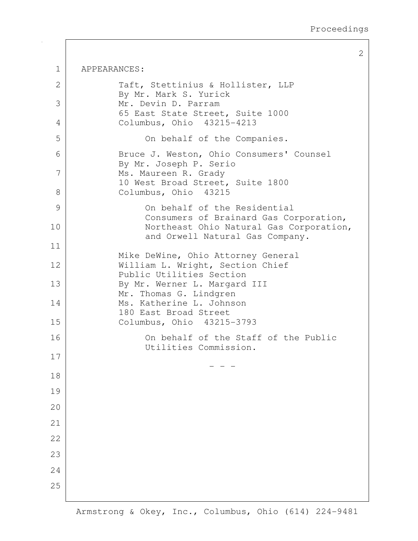2 1 APPEARANCES: 2 Taft, Stettinius & Hollister, LLP By Mr. Mark S. Yurick 3 Mr. Devin D. Parram 65 East State Street, Suite 1000 4 Columbus, Ohio 43215-4213 5 On behalf of the Companies. 6 | Bruce J. Weston, Ohio Consumers' Counsel By Mr. Joseph P. Serio 7 Ms. Maureen R. Grady 10 West Broad Street, Suite 1800 8 Columbus, Ohio 43215 9 On behalf of the Residential Consumers of Brainard Gas Corporation, 10 Northeast Ohio Natural Gas Corporation, and Orwell Natural Gas Company. 11 Mike DeWine, Ohio Attorney General 12 | William L. Wright, Section Chief Public Utilities Section 13 By Mr. Werner L. Margard III Mr. Thomas G. Lindgren 14 Ms. Katherine L. Johnson 180 East Broad Street 15 Columbus, Ohio 43215-3793 16 On behalf of the Staff of the Public Utilities Commission. 17 - - - 18 19  $20$ 21 22 23 24 25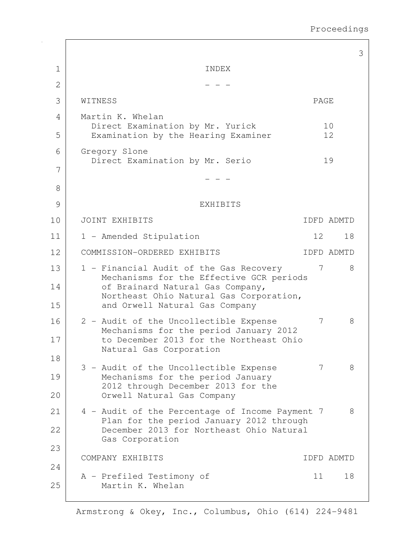|    |                                                                                      |      |            | 3 |
|----|--------------------------------------------------------------------------------------|------|------------|---|
| 1  | INDEX                                                                                |      |            |   |
| 2  |                                                                                      |      |            |   |
| 3  | WITNESS                                                                              | PAGE |            |   |
| 4  | Martin K. Whelan                                                                     |      |            |   |
| 5  | Direct Examination by Mr. Yurick<br>Examination by the Hearing Examiner              |      | 10<br>12   |   |
| 6  | Gregory Slone<br>Direct Examination by Mr. Serio                                     |      |            |   |
| 7  |                                                                                      |      | 19         |   |
| 8  |                                                                                      |      |            |   |
| 9  | EXHIBITS                                                                             |      |            |   |
| 10 | JOINT EXHIBITS                                                                       |      | IDFD ADMTD |   |
| 11 | 1 - Amended Stipulation                                                              | 12   | 18         |   |
| 12 | COMMISSION-ORDERED EXHIBITS                                                          |      | IDFD ADMTD |   |
| 13 | 1 - Financial Audit of the Gas Recovery                                              | 7    | 8          |   |
| 14 | Mechanisms for the Effective GCR periods<br>of Brainard Natural Gas Company,         |      |            |   |
| 15 | Northeast Ohio Natural Gas Corporation,<br>and Orwell Natural Gas Company            |      |            |   |
| 16 | 2 - Audit of the Uncollectible Expense                                               | 7    | 8          |   |
| 17 | Mechanisms for the period January 2012<br>to December 2013 for the Northeast Ohio    |      |            |   |
| 18 | Natural Gas Corporation                                                              |      |            |   |
| 19 | 3 - Audit of the Uncollectible Expense<br>Mechanisms for the period January          | 7    | 8          |   |
| 20 | 2012 through December 2013 for the<br>Orwell Natural Gas Company                     |      |            |   |
| 21 | 4 - Audit of the Percentage of Income Payment 7                                      |      | 8          |   |
| 22 | Plan for the period January 2012 through<br>December 2013 for Northeast Ohio Natural |      |            |   |
|    | Gas Corporation                                                                      |      |            |   |
| 23 | COMPANY EXHIBITS                                                                     |      | IDFD ADMTD |   |
| 24 | A - Prefiled Testimony of                                                            | 11   | 18         |   |
| 25 | Martin K. Whelan                                                                     |      |            |   |
|    |                                                                                      |      |            |   |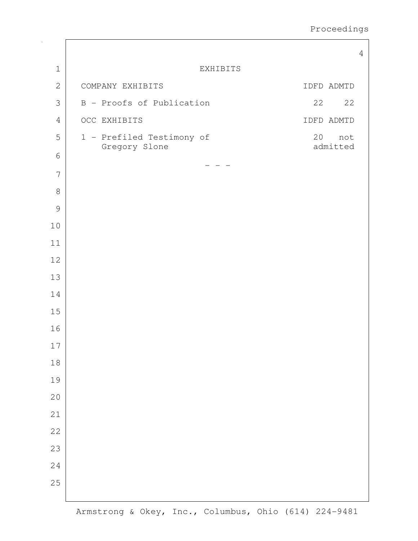|                |                                            |                       | $\overline{4}$ |
|----------------|--------------------------------------------|-----------------------|----------------|
| $1\,$          |                                            | EXHIBITS              |                |
| $\mathbf{2}$   | COMPANY EXHIBITS                           | IDFD ADMTD            |                |
| 3              | B - Proofs of Publication                  | 22<br>22              |                |
| $\sqrt{4}$     | OCC EXHIBITS                               | IDFD ADMTD            |                |
| 5              | 1 - Prefiled Testimony of<br>Gregory Slone | 20<br>not<br>admitted |                |
| $\sqrt{6}$     |                                            |                       |                |
| $\overline{7}$ |                                            |                       |                |
| $\,8\,$        |                                            |                       |                |
| $\mathcal{G}$  |                                            |                       |                |
| 10             |                                            |                       |                |
| 11             |                                            |                       |                |
| 12             |                                            |                       |                |
| 13             |                                            |                       |                |
| 14             |                                            |                       |                |
| 15             |                                            |                       |                |
| 16             |                                            |                       |                |
| 17             |                                            |                       |                |
| $18\,$         |                                            |                       |                |
| 19             |                                            |                       |                |
| 20             |                                            |                       |                |
| 21             |                                            |                       |                |
| 22             |                                            |                       |                |
| 23             |                                            |                       |                |
| 24             |                                            |                       |                |
| 25             |                                            |                       |                |
|                |                                            |                       |                |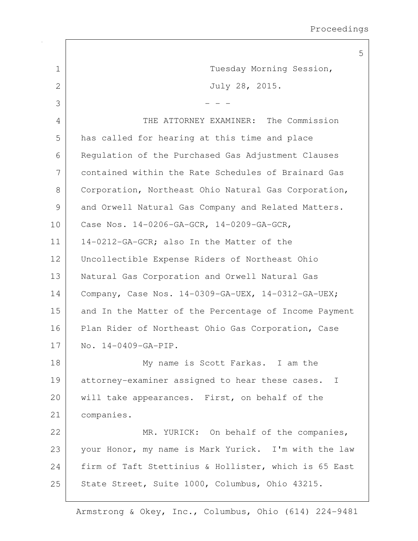|               | 5                                                     |
|---------------|-------------------------------------------------------|
| $\mathbf 1$   | Tuesday Morning Session,                              |
| 2             | July 28, 2015.                                        |
| 3             |                                                       |
| 4             | THE ATTORNEY EXAMINER: The Commission                 |
| 5             | has called for hearing at this time and place         |
| 6             | Regulation of the Purchased Gas Adjustment Clauses    |
| 7             | contained within the Rate Schedules of Brainard Gas   |
| 8             | Corporation, Northeast Ohio Natural Gas Corporation,  |
| $\mathcal{G}$ | and Orwell Natural Gas Company and Related Matters.   |
| 10            | Case Nos. 14-0206-GA-GCR, 14-0209-GA-GCR,             |
| 11            | 14-0212-GA-GCR; also In the Matter of the             |
| 12            | Uncollectible Expense Riders of Northeast Ohio        |
| 13            | Natural Gas Corporation and Orwell Natural Gas        |
| 14            | Company, Case Nos. 14-0309-GA-UEX, 14-0312-GA-UEX;    |
| 15            | and In the Matter of the Percentage of Income Payment |
| 16            | Plan Rider of Northeast Ohio Gas Corporation, Case    |
| 17            | No. 14-0409-GA-PIP.                                   |
| 18            | My name is Scott Farkas. I am the                     |
| 19            | attorney-examiner assigned to hear these cases. I     |
| 20            | will take appearances. First, on behalf of the        |
| 21            | companies.                                            |
| 22            | MR. YURICK: On behalf of the companies,               |
| 23            | your Honor, my name is Mark Yurick. I'm with the law  |
| 24            | firm of Taft Stettinius & Hollister, which is 65 East |
| 25            | State Street, Suite 1000, Columbus, Ohio 43215.       |

 $\Gamma$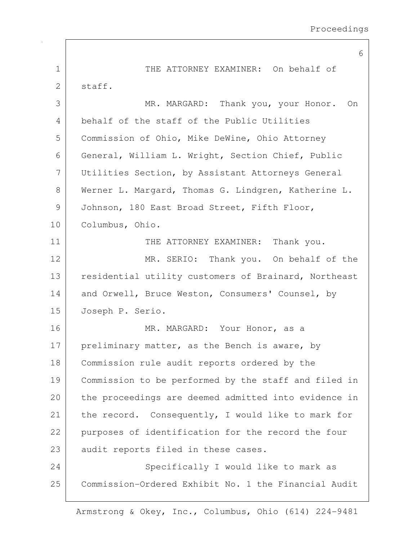|              | 6                                                    |
|--------------|------------------------------------------------------|
| $\mathbf{1}$ | THE ATTORNEY EXAMINER: On behalf of                  |
| 2            | staff.                                               |
| 3            | MR. MARGARD: Thank you, your Honor. On               |
| 4            | behalf of the staff of the Public Utilities          |
| 5            | Commission of Ohio, Mike DeWine, Ohio Attorney       |
| 6            | General, William L. Wright, Section Chief, Public    |
| 7            | Utilities Section, by Assistant Attorneys General    |
| 8            | Werner L. Margard, Thomas G. Lindgren, Katherine L.  |
| 9            | Johnson, 180 East Broad Street, Fifth Floor,         |
| 10           | Columbus, Ohio.                                      |
| 11           | THE ATTORNEY EXAMINER: Thank you.                    |
| 12           | MR. SERIO: Thank you. On behalf of the               |
| 13           | residential utility customers of Brainard, Northeast |
| 14           | and Orwell, Bruce Weston, Consumers' Counsel, by     |
| 15           | Joseph P. Serio.                                     |
| 16           | MR. MARGARD: Your Honor, as a                        |
| 17           | preliminary matter, as the Bench is aware, by        |
| 18           | Commission rule audit reports ordered by the         |
| 19           | Commission to be performed by the staff and filed in |
| 20           | the proceedings are deemed admitted into evidence in |
| 21           | the record. Consequently, I would like to mark for   |
| 22           | purposes of identification for the record the four   |
| 23           | audit reports filed in these cases.                  |
| 24           | Specifically I would like to mark as                 |
| 25           | Commission-Ordered Exhibit No. 1 the Financial Audit |
|              |                                                      |

 $\mathsf{I}$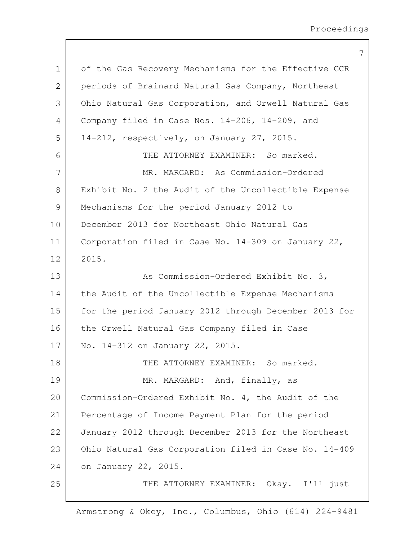|              | 7                                                     |
|--------------|-------------------------------------------------------|
| $\mathbf 1$  | of the Gas Recovery Mechanisms for the Effective GCR  |
| $\mathbf{2}$ | periods of Brainard Natural Gas Company, Northeast    |
| 3            | Ohio Natural Gas Corporation, and Orwell Natural Gas  |
| 4            | Company filed in Case Nos. 14-206, 14-209, and        |
| 5            | 14-212, respectively, on January 27, 2015.            |
| 6            | THE ATTORNEY EXAMINER: So marked.                     |
| 7            | MR. MARGARD: As Commission-Ordered                    |
| 8            | Exhibit No. 2 the Audit of the Uncollectible Expense  |
| 9            | Mechanisms for the period January 2012 to             |
| 10           | December 2013 for Northeast Ohio Natural Gas          |
| 11           | Corporation filed in Case No. 14-309 on January 22,   |
| 12           | 2015.                                                 |
| 13           | As Commission-Ordered Exhibit No. 3,                  |
| 14           | the Audit of the Uncollectible Expense Mechanisms     |
| 15           | for the period January 2012 through December 2013 for |
| 16           | the Orwell Natural Gas Company filed in Case          |
| 17           | No. 14-312 on January 22, 2015.                       |
| 18           | THE ATTORNEY EXAMINER: So marked.                     |
| 19           | MR. MARGARD: And, finally, as                         |
| 20           | Commission-Ordered Exhibit No. 4, the Audit of the    |
| 21           | Percentage of Income Payment Plan for the period      |
| 22           | January 2012 through December 2013 for the Northeast  |
| 23           | Ohio Natural Gas Corporation filed in Case No. 14-409 |
| 24           | on January 22, 2015.                                  |
| 25           | THE ATTORNEY EXAMINER: Okay. I'll just                |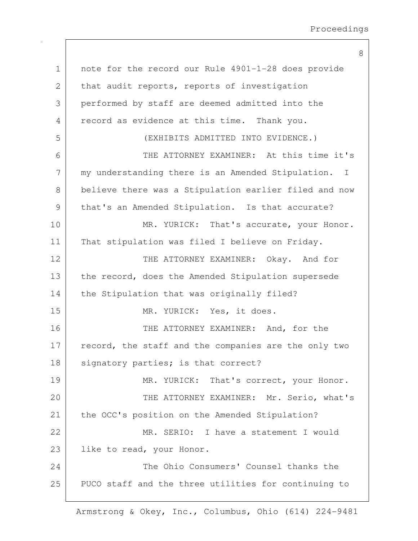8

1 note for the record our Rule 4901-1-28 does provide 2 that audit reports, reports of investigation 3 performed by staff are deemed admitted into the 4 record as evidence at this time. Thank you. 5 (EXHIBITS ADMITTED INTO EVIDENCE.) 6 THE ATTORNEY EXAMINER: At this time it's 7 | my understanding there is an Amended Stipulation. I 8 believe there was a Stipulation earlier filed and now 9 | that's an Amended Stipulation. Is that accurate? 10 MR. YURICK: That's accurate, your Honor. 11 | That stipulation was filed I believe on Friday. 12 THE ATTORNEY EXAMINER: Okay. And for 13 the record, does the Amended Stipulation supersede 14 the Stipulation that was originally filed? 15 MR. YURICK: Yes, it does. 16 THE ATTORNEY EXAMINER: And, for the 17 record, the staff and the companies are the only two 18 signatory parties; is that correct? 19 MR. YURICK: That's correct, your Honor. 20 THE ATTORNEY EXAMINER: Mr. Serio, what's 21 | the OCC's position on the Amended Stipulation? 22 MR. SERIO: I have a statement I would 23 like to read, your Honor. 24 The Ohio Consumers' Counsel thanks the 25 | PUCO staff and the three utilities for continuing to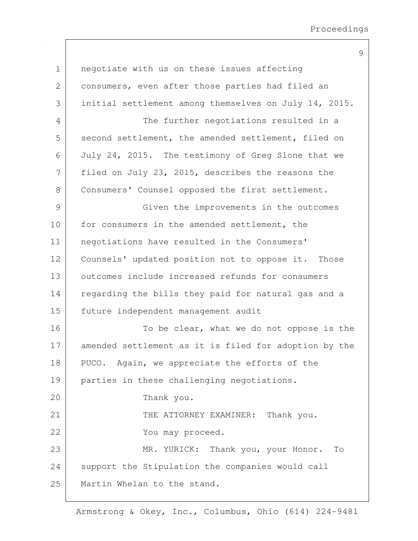| $\mathbf 1$   | negotiate with us on these issues affecting           |
|---------------|-------------------------------------------------------|
| $\mathbf{2}$  | consumers, even after those parties had filed an      |
| 3             | initial settlement among themselves on July 14, 2015. |
| 4             | The further negotiations resulted in a                |
| 5             | second settlement, the amended settlement, filed on   |
| 6             | July 24, 2015. The testimony of Greg Slone that we    |
| 7             | filed on July 23, 2015, describes the reasons the     |
| 8             | Consumers' Counsel opposed the first settlement.      |
| $\mathcal{G}$ | Given the improvements in the outcomes                |
| 10            | for consumers in the amended settlement, the          |
| 11            | negotiations have resulted in the Consumers'          |
| 12            | Counsels' updated position not to oppose it. Those    |
| 13            | outcomes include increased refunds for consumers      |
| 14            | regarding the bills they paid for natural gas and a   |
| 15            | future independent management audit                   |
| 16            | To be clear, what we do not oppose is the             |
| 17            | amended settlement as it is filed for adoption by the |
| 18            | PUCO. Again, we appreciate the efforts of the         |
| 19            | parties in these challenging negotiations.            |
| 20            | Thank you.                                            |
| 21            | THE ATTORNEY EXAMINER: Thank you.                     |
| 22            | You may proceed.                                      |
| 23            | MR. YURICK: Thank you, your Honor.<br>To              |
| 24            | support the Stipulation the companies would call      |
| 25            | Martin Whelan to the stand.                           |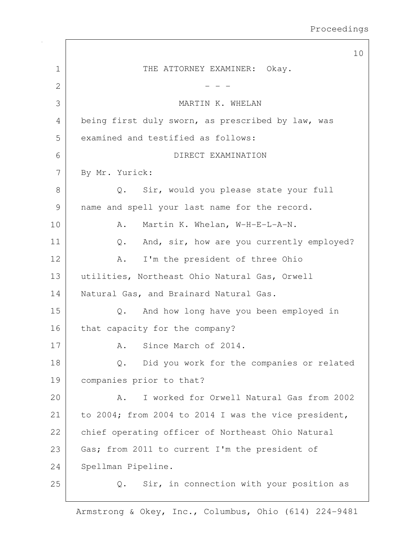|             | 10                                                   |
|-------------|------------------------------------------------------|
| $\mathbf 1$ | THE ATTORNEY EXAMINER: Okay.                         |
| 2           |                                                      |
| 3           | MARTIN K. WHELAN                                     |
| 4           | being first duly sworn, as prescribed by law, was    |
| 5           | examined and testified as follows:                   |
| 6           | DIRECT EXAMINATION                                   |
| 7           | By Mr. Yurick:                                       |
| 8           | Q. Sir, would you please state your full             |
| 9           | name and spell your last name for the record.        |
| 10          | Martin K. Whelan, W-H-E-L-A-N.<br>Α.                 |
| 11          | And, sir, how are you currently employed?<br>Q.      |
| 12          | I'm the president of three Ohio<br>Α.                |
| 13          | utilities, Northeast Ohio Natural Gas, Orwell        |
| 14          | Natural Gas, and Brainard Natural Gas.               |
| 15          | And how long have you been employed in<br>$Q$ .      |
| 16          | that capacity for the company?                       |
| 17          | Since March of 2014.<br>Α.                           |
| 18          | Did you work for the companies or related<br>Q.      |
| 19          | companies prior to that?                             |
| 20          | I worked for Orwell Natural Gas from 2002<br>Α.      |
| 21          | to 2004; from 2004 to 2014 I was the vice president, |
| 22          | chief operating officer of Northeast Ohio Natural    |
| 23          | Gas; from 2011 to current I'm the president of       |
| 24          | Spellman Pipeline.                                   |
| 25          | Sir, in connection with your position as<br>Q.       |

 $\Gamma$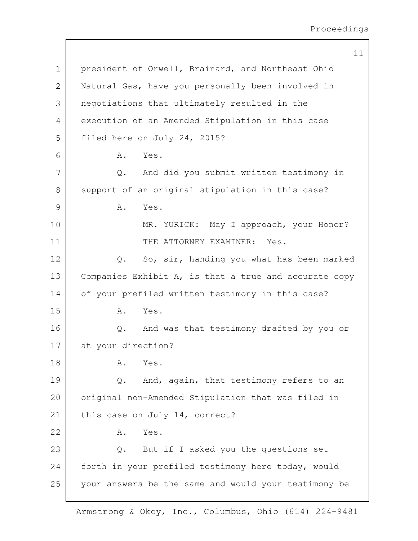11 1 president of Orwell, Brainard, and Northeast Ohio 2 Natural Gas, have you personally been involved in 3 negotiations that ultimately resulted in the 4 execution of an Amended Stipulation in this case 5 filed here on July 24, 2015? 6 A. Yes. 7 Q. And did you submit written testimony in 8 support of an original stipulation in this case? 9 A. Yes. 10 MR. YURICK: May I approach, your Honor? 11 THE ATTORNEY EXAMINER: Yes. 12 Q. So, sir, handing you what has been marked 13 Companies Exhibit A, is that a true and accurate copy 14 of your prefiled written testimony in this case? 15 A. Yes. 16 Q. And was that testimony drafted by you or 17 at your direction? 18 A. Yes. 19 Q. And, again, that testimony refers to an 20 | original non-Amended Stipulation that was filed in 21 | this case on July 14, correct? 22 A. Yes. 23 Q. But if I asked you the questions set 24 forth in your prefiled testimony here today, would 25 your answers be the same and would your testimony be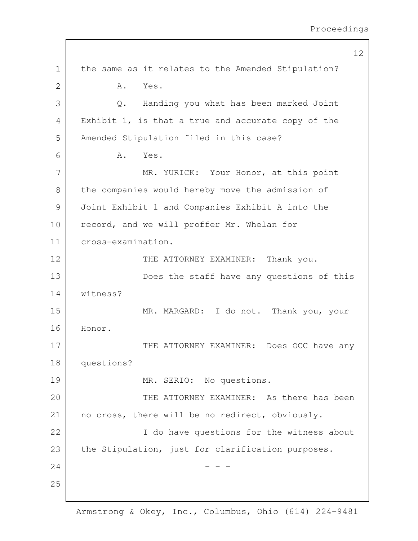12 1 the same as it relates to the Amended Stipulation? 2 A. Yes. 3 Q. Handing you what has been marked Joint 4 Exhibit 1, is that a true and accurate copy of the 5 Amended Stipulation filed in this case? 6 A. Yes. 7 MR. YURICK: Your Honor, at this point 8 the companies would hereby move the admission of 9 Joint Exhibit 1 and Companies Exhibit A into the 10 record, and we will proffer Mr. Whelan for 11 cross-examination. 12 THE ATTORNEY EXAMINER: Thank you. 13 Does the staff have any questions of this 14 witness? 15 MR. MARGARD: I do not. Thank you, your 16 Honor. 17 THE ATTORNEY EXAMINER: Does OCC have any 18 questions? 19 MR. SERIO: No questions. 20 THE ATTORNEY EXAMINER: As there has been 21 | no cross, there will be no redirect, obviously. 22 | The have questions for the witness about 23 the Stipulation, just for clarification purposes.  $24$  - - -25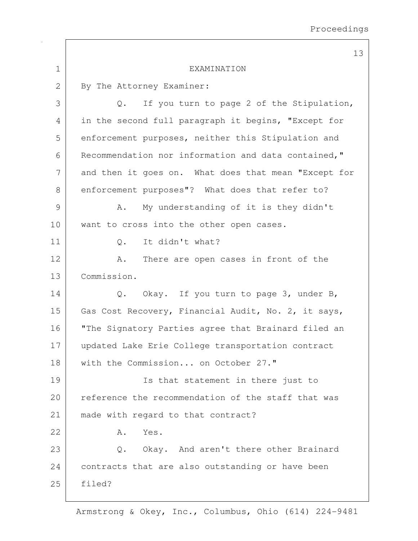|             | 13                                                     |
|-------------|--------------------------------------------------------|
| $\mathbf 1$ | EXAMINATION                                            |
| 2           | By The Attorney Examiner:                              |
| 3           | If you turn to page 2 of the Stipulation,<br>Q.        |
| 4           | in the second full paragraph it begins, "Except for    |
| 5           | enforcement purposes, neither this Stipulation and     |
| 6           | Recommendation nor information and data contained,"    |
| 7           | and then it goes on. What does that mean "Except for   |
| 8           | enforcement purposes"? What does that refer to?        |
| 9           | My understanding of it is they didn't<br>Α.            |
| 10          | want to cross into the other open cases.               |
| 11          | It didn't what?<br>$Q$ .                               |
| 12          | There are open cases in front of the<br>Α.             |
| 13          | Commission.                                            |
| 14          | Okay. If you turn to page 3, under B,<br>$Q_{\bullet}$ |
| 15          | Gas Cost Recovery, Financial Audit, No. 2, it says,    |
| 16          | "The Signatory Parties agree that Brainard filed an    |
| 17          | updated Lake Erie College transportation contract      |
| 18          | with the Commission on October 27."                    |
| 19          | Is that statement in there just to                     |
| 20          | reference the recommendation of the staff that was     |
| 21          | made with regard to that contract?                     |
| 22          | Α.<br>Yes.                                             |
| 23          | Q. Okay. And aren't there other Brainard               |
| 24          | contracts that are also outstanding or have been       |
| 25          | filed?                                                 |
|             |                                                        |

 $\Gamma$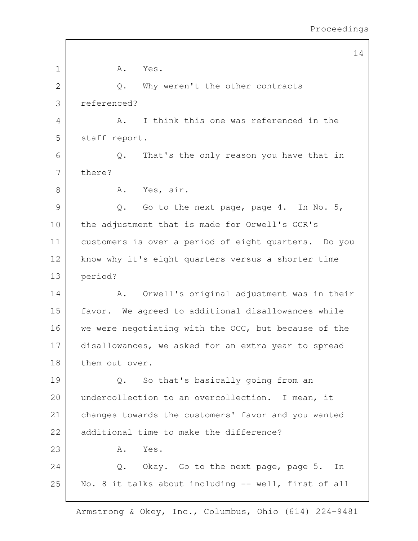14 1 A. Yes. 2 Q. Why weren't the other contracts 3 referenced? 4 A. I think this one was referenced in the 5 staff report. 6 Q. That's the only reason you have that in 7 there? 8 A. Yes, sir.  $9$  O. Go to the next page, page 4. In No. 5, 10 | the adjustment that is made for Orwell's GCR's 11 customers is over a period of eight quarters. Do you 12 | know why it's eight quarters versus a shorter time 13 period? 14 A. Orwell's original adjustment was in their 15 | favor. We agreed to additional disallowances while 16 we were negotiating with the OCC, but because of the 17 disallowances, we asked for an extra year to spread 18 them out over. 19 Q. So that's basically going from an 20 undercollection to an overcollection. I mean, it 21 changes towards the customers' favor and you wanted 22 additional time to make the difference?  $23$   $A.$  Yes. 24 Q. Okay. Go to the next page, page 5. In 25 | No. 8 it talks about including -- well, first of all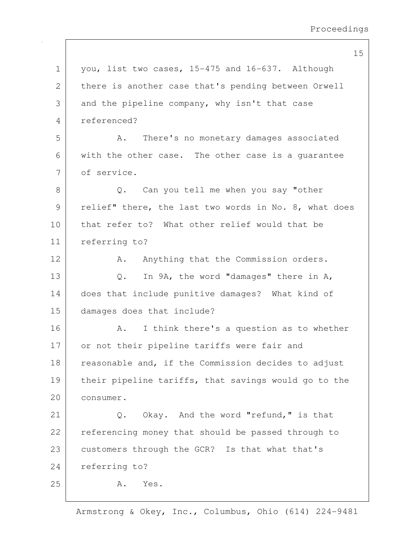15

| $\mathbf 1$ | you, list two cases, 15-475 and 16-637. Although      |
|-------------|-------------------------------------------------------|
| 2           | there is another case that's pending between Orwell   |
| 3           | and the pipeline company, why isn't that case         |
| 4           | referenced?                                           |
| 5           | There's no monetary damages associated<br>Α.          |
| 6           | with the other case. The other case is a quarantee    |
| 7           | of service.                                           |
| 8           | Can you tell me when you say "other<br>Q.             |
| 9           | relief" there, the last two words in No. 8, what does |
| 10          | that refer to? What other relief would that be        |
| 11          | referring to?                                         |
| 12          | Anything that the Commission orders.<br>Α.            |
| 13          | In 9A, the word "damages" there in A,<br>$Q$ .        |
| 14          | does that include punitive damages? What kind of      |
| 15          | damages does that include?                            |
| 16          | I think there's a question as to whether<br>Α.        |
| 17          | or not their pipeline tariffs were fair and           |
| 18          | reasonable and, if the Commission decides to adjust   |
| 19          | their pipeline tariffs, that savings would go to the  |
| 20          | consumer.                                             |
| 21          | Okay. And the word "refund," is that<br>Q.            |
| 22          | referencing money that should be passed through to    |
| 23          | customers through the GCR? Is that what that's        |
| 24          | referring to?                                         |
| 25          | Α.<br>Yes.                                            |
|             |                                                       |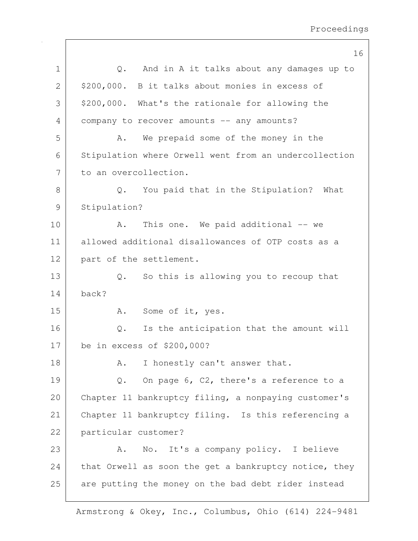|               | 16                                                      |
|---------------|---------------------------------------------------------|
| $\mathbf 1$   | And in A it talks about any damages up to<br>$Q$ .      |
| $\mathbf{2}$  | \$200,000. B it talks about monies in excess of         |
| 3             | \$200,000. What's the rationale for allowing the        |
| 4             | company to recover amounts -- any amounts?              |
| 5             | We prepaid some of the money in the<br>Α.               |
| 6             | Stipulation where Orwell went from an undercollection   |
| 7             | to an overcollection.                                   |
| $8\,$         | You paid that in the Stipulation? What<br>$Q$ .         |
| $\mathcal{G}$ | Stipulation?                                            |
| 10            | This one. We paid additional -- we<br>Α.                |
| 11            | allowed additional disallowances of OTP costs as a      |
| 12            | part of the settlement.                                 |
| 13            | So this is allowing you to recoup that<br>$\mathbb Q$ . |
| 14            | back?                                                   |
| 15            | Some of it, yes.<br>Α.                                  |
| 16            | Is the anticipation that the amount will<br>Q.          |
| 17            | be in excess of \$200,000?                              |
| 18            | I honestly can't answer that.<br>Α.                     |
| 19            | On page 6, C2, there's a reference to a<br>Q.           |
| 20            | Chapter 11 bankruptcy filing, a nonpaying customer's    |
| 21            | Chapter 11 bankruptcy filing. Is this referencing a     |
| 22            | particular customer?                                    |
| 23            | No. It's a company policy. I believe<br>Α.              |
| 24            | that Orwell as soon the get a bankruptcy notice, they   |
| 25            | are putting the money on the bad debt rider instead     |

 $\mathsf{I}$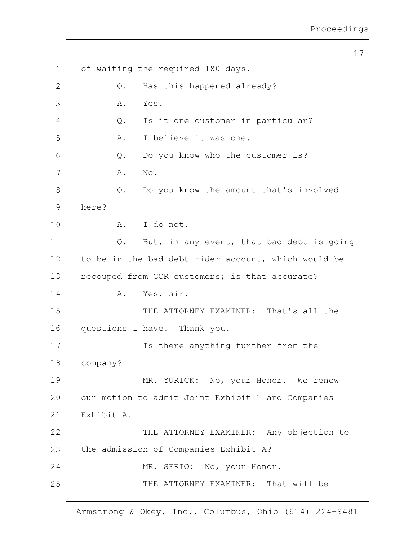17 1 of waiting the required 180 days. 2 Q. Has this happened already?  $3$   $A.$  Yes. 4 Q. Is it one customer in particular? 5 A. I believe it was one. 6 Q. Do you know who the customer is? 7 | A. No. 8 Q. Do you know the amount that's involved 9 here? 10 A. I do not. 11 | Q. But, in any event, that bad debt is going 12 to be in the bad debt rider account, which would be 13 recouped from GCR customers; is that accurate? 14 A. Yes, sir. 15 THE ATTORNEY EXAMINER: That's all the 16 questions I have. Thank you. 17 | Is there anything further from the 18 company? 19 MR. YURICK: No, your Honor. We renew 20 | our motion to admit Joint Exhibit 1 and Companies 21 Exhibit A. 22 | THE ATTORNEY EXAMINER: Any objection to 23 the admission of Companies Exhibit A? 24 MR. SERIO: No, your Honor. 25 THE ATTORNEY EXAMINER: That will be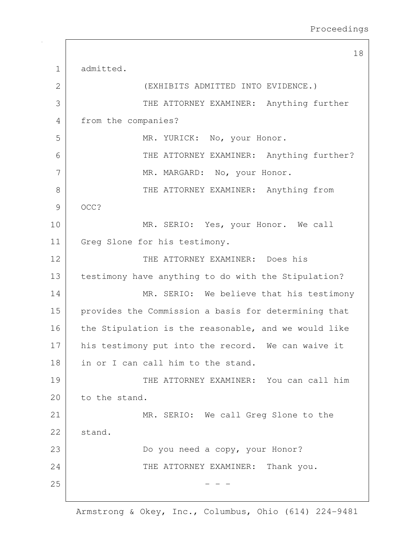18 1 admitted. 2 (EXHIBITS ADMITTED INTO EVIDENCE.) 3 | THE ATTORNEY EXAMINER: Anything further 4 from the companies? 5 MR. YURICK: No, your Honor. 6 THE ATTORNEY EXAMINER: Anything further? 7 MR. MARGARD: No, your Honor. 8 | THE ATTORNEY EXAMINER: Anything from 9 OCC? 10 MR. SERIO: Yes, your Honor. We call 11 Greg Slone for his testimony. 12 THE ATTORNEY EXAMINER: Does his 13 testimony have anything to do with the Stipulation? 14 MR. SERIO: We believe that his testimony 15 | provides the Commission a basis for determining that 16 the Stipulation is the reasonable, and we would like 17 his testimony put into the record. We can waive it 18 in or I can call him to the stand. 19 THE ATTORNEY EXAMINER: You can call him 20 to the stand. 21 MR. SERIO: We call Greq Slone to the 22 stand. 23 Do you need a copy, your Honor? 24 THE ATTORNEY EXAMINER: Thank you.  $25$  - - -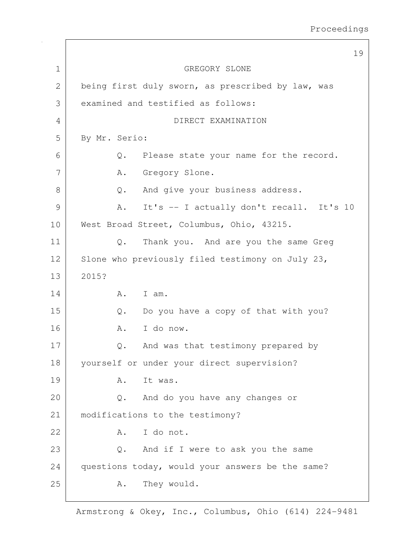19 1 GREGORY SLONE 2 being first duly sworn, as prescribed by law, was 3 examined and testified as follows: 4 DIRECT EXAMINATION 5 By Mr. Serio: 6 Q. Please state your name for the record. 7 | A. Gregory Slone. 8 Q. And give your business address. 9 A. It's -- I actually don't recall. It's 10 10 | West Broad Street, Columbus, Ohio, 43215. 11 | Q. Thank you. And are you the same Greg 12 Slone who previously filed testimony on July 23, 13 2015? 14 A. I am.  $15$  Q. Do you have a copy of that with you? 16 A. I do now. 17 Q. And was that testimony prepared by 18 yourself or under your direct supervision? 19 A. It was. 20 Q. And do you have any changes or 21 | modifications to the testimony? 22 A. I do not.  $23$  Q. And if I were to ask you the same 24 questions today, would your answers be the same? 25 A. They would.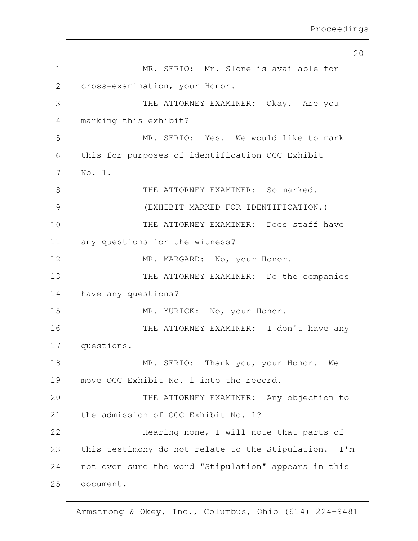20 1 MR. SERIO: Mr. Slone is available for 2 cross-examination, your Honor. 3 THE ATTORNEY EXAMINER: Okay. Are you 4 marking this exhibit? 5 MR. SERIO: Yes. We would like to mark 6 this for purposes of identification OCC Exhibit 7 No. 1. 8 Supersman THE ATTORNEY EXAMINER: So marked. 9 (EXHIBIT MARKED FOR IDENTIFICATION.) 10 THE ATTORNEY EXAMINER: Does staff have 11 any questions for the witness? 12 MR. MARGARD: No, your Honor. 13 THE ATTORNEY EXAMINER: Do the companies 14 have any questions? 15 MR. YURICK: No, your Honor. 16 THE ATTORNEY EXAMINER: I don't have any 17 questions. 18 MR. SERIO: Thank you, your Honor. We 19 move OCC Exhibit No. 1 into the record. 20 | THE ATTORNEY EXAMINER: Any objection to 21 the admission of OCC Exhibit No. 1? 22 | Hearing none, I will note that parts of 23 this testimony do not relate to the Stipulation. I'm 24 not even sure the word "Stipulation" appears in this 25 document.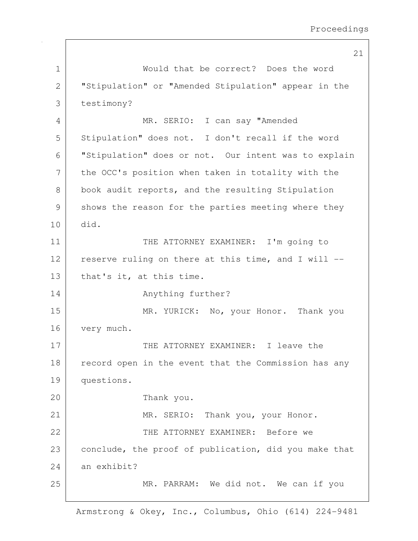21 1 Would that be correct? Does the word 2 "Stipulation" or "Amended Stipulation" appear in the 3 testimony? 4 MR. SERIO: I can say "Amended 5 | Stipulation" does not. I don't recall if the word 6 "Stipulation" does or not. Our intent was to explain 7 | the OCC's position when taken in totality with the 8 book audit reports, and the resulting Stipulation 9 shows the reason for the parties meeting where they 10 did. 11 THE ATTORNEY EXAMINER: I'm going to 12 reserve ruling on there at this time, and I will --13 that's it, at this time. 14 Anything further? 15 MR. YURICK: No, your Honor. Thank you 16 very much. 17 THE ATTORNEY EXAMINER: I leave the 18 record open in the event that the Commission has any 19 questions. 20 Thank you. 21 MR. SERIO: Thank you, your Honor. 22 THE ATTORNEY EXAMINER: Before we 23 conclude, the proof of publication, did you make that 24 an exhibit? 25 MR. PARRAM: We did not. We can if you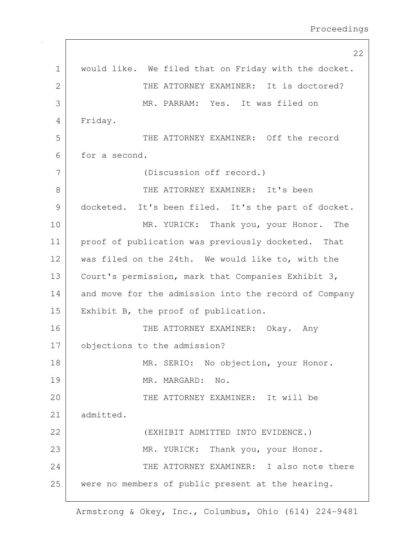|              | 22                                                    |
|--------------|-------------------------------------------------------|
| $\mathbf 1$  | would like. We filed that on Friday with the docket.  |
| $\mathbf{2}$ | THE ATTORNEY EXAMINER: It is doctored?                |
| 3            | MR. PARRAM: Yes. It was filed on                      |
| 4            | Friday.                                               |
| 5            | THE ATTORNEY EXAMINER: Off the record                 |
| 6            | for a second.                                         |
| 7            | (Discussion off record.)                              |
| 8            | THE ATTORNEY EXAMINER: It's been                      |
| 9            | docketed. It's been filed. It's the part of docket.   |
| 10           | MR. YURICK: Thank you, your Honor. The                |
| 11           | proof of publication was previously docketed. That    |
| 12           | was filed on the 24th. We would like to, with the     |
| 13           | Court's permission, mark that Companies Exhibit 3,    |
| 14           | and move for the admission into the record of Company |
| 15           | Exhibit B, the proof of publication.                  |
| 16           | THE ATTORNEY EXAMINER: Okay. Any                      |
| 17           | objections to the admission?                          |
| 18           | MR. SERIO: No objection, your Honor.                  |
| 19           | MR. MARGARD: No.                                      |
| 20           | THE ATTORNEY EXAMINER: It will be                     |
| 21           | admitted.                                             |
| 22           | (EXHIBIT ADMITTED INTO EVIDENCE.)                     |
| 23           | MR. YURICK: Thank you, your Honor.                    |
| 24           | THE ATTORNEY EXAMINER: I also note there              |
| 25           | were no members of public present at the hearing.     |

 $\mathsf{I}$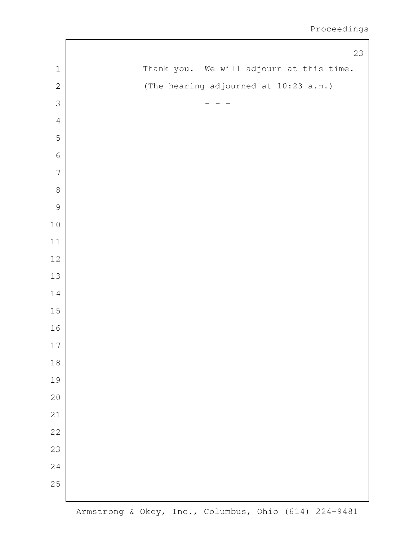|                | 23                                       |
|----------------|------------------------------------------|
| $\,1\,$        | Thank you. We will adjourn at this time. |
| $\overline{c}$ | (The hearing adjourned at 10:23 a.m.)    |
| $\mathfrak{Z}$ |                                          |
| $\sqrt{4}$     |                                          |
| 5              |                                          |
| $\sqrt{6}$     |                                          |
| $\overline{7}$ |                                          |
| $\,8\,$        |                                          |
| $\mathcal{G}$  |                                          |
| $1\,0$         |                                          |
| $1\,1$         |                                          |
| $12\,$         |                                          |
| $13\,$         |                                          |
| 14             |                                          |
| $15\,$         |                                          |
| 16             |                                          |
| $17\,$         |                                          |
| $18\,$         |                                          |
| 19             |                                          |
| 20             |                                          |
| 21             |                                          |
| 22             |                                          |
| 23             |                                          |
| 24             |                                          |
| 25             |                                          |
|                |                                          |

 $\sqrt{2}$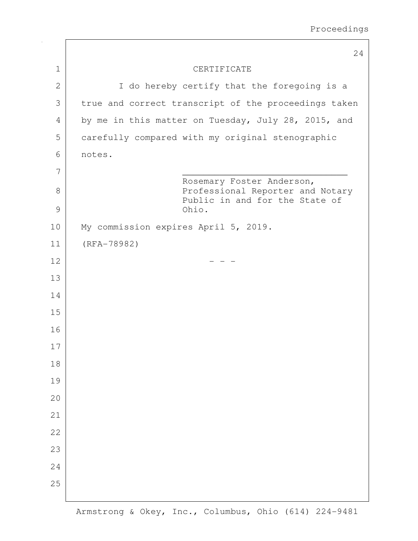|              | 24                                                                                              |
|--------------|-------------------------------------------------------------------------------------------------|
| $\mathbf{1}$ | CERTIFICATE                                                                                     |
| $\mathbf{2}$ | I do hereby certify that the foregoing is a                                                     |
| 3            | true and correct transcript of the proceedings taken                                            |
| 4            | by me in this matter on Tuesday, July 28, 2015, and                                             |
| 5            | carefully compared with my original stenographic                                                |
| 6            | notes.                                                                                          |
| 7            |                                                                                                 |
| 8            | Rosemary Foster Anderson,<br>Professional Reporter and Notary<br>Public in and for the State of |
| 9            | Ohio.                                                                                           |
| 10           | My commission expires April 5, 2019.                                                            |
| 11           | $(RFA-78982)$                                                                                   |
| 12           |                                                                                                 |
| 13           |                                                                                                 |
| 14           |                                                                                                 |
| 15           |                                                                                                 |
| 16           |                                                                                                 |
| 17           |                                                                                                 |
| 18           |                                                                                                 |
| 19           |                                                                                                 |
| 20           |                                                                                                 |
| 21           |                                                                                                 |
| 22           |                                                                                                 |
| 23           |                                                                                                 |
| 24           |                                                                                                 |
| 25           |                                                                                                 |
|              |                                                                                                 |